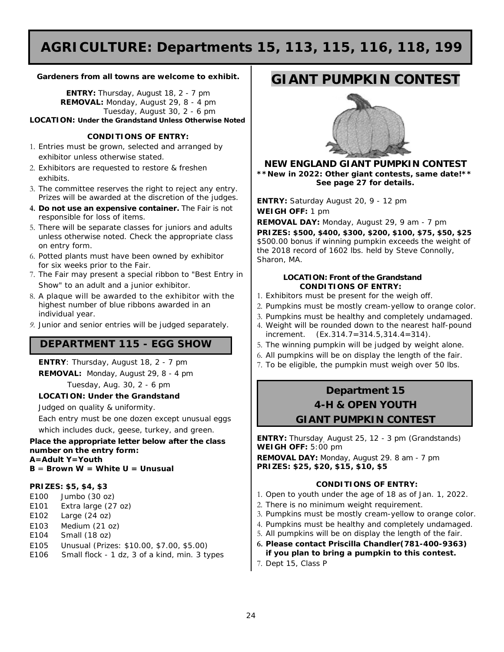# **AGRICULTURE: Departments 15, 113, 115, 116, 118, 199**

#### **Gardeners from all towns are welcome to exhibit.**

**ENTRY:** Thursday, August 18, 2 - 7 pm **REMOVAL:** Monday, August 29, 8 - 4 pm Tuesday, August 30, 2 - 6 pm **LOCATION:** *Under the Grandstand Unless Otherwise Noted*

#### **CONDITIONS OF ENTRY:**

- 1. Entries must be grown, selected and arranged by exhibitor unless otherwise stated.
- 2. Exhibitors are requested to restore & freshen exhibits.
- 3. The committee reserves the right to reject any entry. Prizes will be awarded at the discretion of the judges.
- **4. Do not use an expensive container.** The Fair is not responsible for loss of items.
- 5. There will be separate classes for juniors and adults unless otherwise noted. Check the appropriate class on entry form.
- 6. Potted plants must have been owned by exhibitor for six weeks prior to the Fair.
- 7. The Fair may present a special ribbon to "Best Entry in Show" to an adult and a junior exhibitor.
- 8. A plaque will be awarded to the exhibitor with the highest number of blue ribbons awarded in an individual year.
- *9. Junior and senior entries will be judged separately.*

### **DEPARTMENT 115 - EGG SHOW**

**ENTRY**: Thursday, August 18, 2 - 7 pm **REMOVAL:** Monday, August 29, 8 - 4 pm Tuesday, Aug. 30, 2 - 6 pm

### **LOCATION: Under the Grandstand**

Judged on quality & uniformity.

Each entry must be one dozen except unusual eggs which includes duck, geese, turkey, and green.

**Place the appropriate letter below after the class number on the entry form: A=Adult Y=Youth B** = **Brown W = White U = Unusual**

#### **PRIZES: \$5, \$4, \$3**

- E100 Jumbo (30 oz)
- E101 Extra large (27 oz)
- E102 Large (24 oz)
- E103 Medium (21 oz)
- E104 Small (18 oz)
- E105 Unusual (Prizes: \$10.00, \$7.00, \$5.00)
- E106 Small flock 1 dz, 3 of a kind, min. 3 types

## **GIANT PUMPKIN CONTEST**



**NEW ENGLAND GIANT PUMPKIN CONTEST** *\*\*New in 2022: Other giant contests, same date!\*\* See page 27 for details.*

**ENTRY:** Saturday August 20, 9 - 12 pm **WEIGH OFF:** 1 pm

**REMOVAL DAY:** Monday, August 29, 9 am - 7 pm

**PRIZES: \$500, \$400, \$300, \$200, \$100, \$75, \$50, \$25** \$500.00 bonus if winning pumpkin exceeds the weight of the 2018 record of 1602 lbs. held by *Steve Connolly, Sharon, MA.*

#### **LOCATION: Front of the Grandstand CONDITIONS OF ENTRY:**

- 1. Exhibitors must be present for the weigh off.
- 2. Pumpkins must be mostly cream-yellow to orange color.
- 3. Pumpkins must be healthy and completely undamaged.
- 4. Weight will be rounded down to the nearest half-pound increment. (Ex.314.7=314.5,314.4=314).
- 5. The winning pumpkin will be judged by weight alone.
- 6. All pumpkins will be on display the length of the fair.
- 7. To be eligible, the pumpkin must weigh over 50 lbs.

### **Department 15 4-H & OPEN YOUTH GIANT PUMPKIN CONTEST**

**ENTRY:** Thursday, August 25, 12 - 3 pm (Grandstands) **WEIGH OFF:** 5:00 pm

**REMOVAL DAY:** Monday, August 29. 8 am - 7 pm **PRIZES: \$25, \$20, \$15, \$10, \$5**

#### **CONDITIONS OF ENTRY:**

- 1. Open to youth under the age of 18 as of Jan. 1, 2022.
- 2. There is no minimum weight requirement.
- 3. Pumpkins must be mostly cream-yellow to orange color.
- 4. Pumpkins must be healthy and completely undamaged.
- 5. All pumpkins will be on display the length of the fair.
- **6. Please contact Priscilla Chandler(781-400-9363) if you plan to bring a pumpkin to this contest.**
- 7. Dept 15, Class P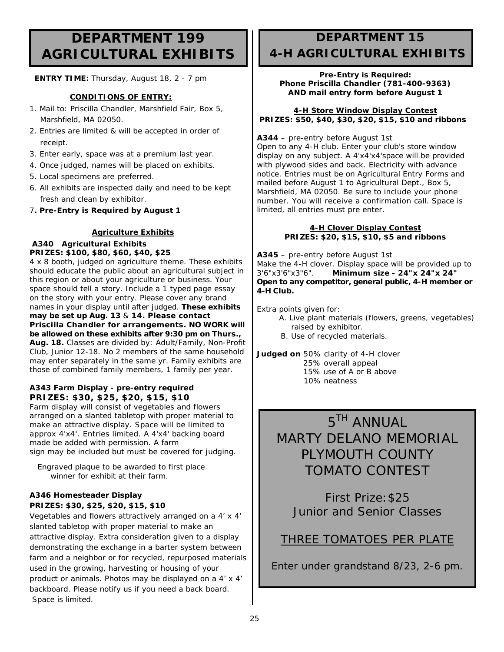## **DEPARTMENT 199 AGRICULTURAL EXHIBITS**

 **ENTRY TIME:** Thursday, August 18, 2 - 7 pm

#### **CONDITIONS OF ENTRY:**

- 1. Mail to: Priscilla Chandler, Marshfield Fair, Box 5, Marshfield, MA 02050.
- 2. Entries are limited & will be accepted in order of receipt.
- 3. Enter early, space was at a premium last year.
- 4. Once judged, names will be placed on exhibits.
- 5. Local specimens are preferred.
- 6. All exhibits are inspected daily and need to be kept fresh and clean by exhibitor.
- 7**. Pre-Entry is Required by August 1**

#### **Agriculture Exhibits**

#### **A340 Agricultural Exhibits PRIZES: \$100, \$80, \$60, \$40, \$25**

4 x 8 booth, judged on agriculture theme. These exhibits should educate the public about an agricultural subject in this region or about your agriculture or business. Your space should tell a story. Include a 1 typed page essay on the story with your entry. Please cover any brand names in your display until after judged. **These exhibits may be set up Aug. 13** & **14. Please contact Priscilla Chandler for arrangements. NO WORK will be allowed on these exhibits after 9:30 pm on Thurs., Aug. 18.** Classes are divided by: Adult/Family, Non-Profit Club, Junior 12-18. No 2 members of the same household may enter separately in the same yr. Family exhibits are those of combined family members, 1 family per year.

#### **A343 Farm Display - pre-entry required PRIZES: \$30, \$25, \$20, \$15, \$10**

Farm display will consist of vegetables and flowers arranged on a slanted tabletop with proper material to make an attractive display. Space will be limited to approx 4'x4'. Entries limited. A 4'x4' backing board made be added with permission. A farm sign may be included but must be covered for judging.

 *Engraved plaque to be awarded to first place winner for exhibit at their farm.*

#### **A346 Homesteader Display PRIZES: \$30, \$25, \$20, \$15, \$10**

Vegetables and flowers attractively arranged on a 4' x 4' slanted tabletop with proper material to make an attractive display. Extra consideration given to a display demonstrating the exchange in a barter system between farm and a neighbor or for recycled, repurposed materials used in the growing, harvesting or housing of your product or animals. Photos may be displayed on a 4' x 4' backboard. Please notify us if you need a back board. Space is limited.

## **DEPARTMENT 15 4-H AGRICULTURAL EXHIBITS**

#### **Pre-Entry is Required: Phone Priscilla Chandler (781-400-9363) AND mail entry form before August 1**

#### **4-H Store Window Display Contest PRIZES: \$50, \$40, \$30, \$20, \$15, \$10 and ribbons**

#### **A344** – pre-entry before August 1st

Open to any 4-H club. Enter your club's store window display on any subject. A 4'x4'x4'space will be provided with plywood sides and back. Electricity with advance notice. Entries must be on Agricultural Entry Forms and mailed before August 1 to Agricultural Dept., Box 5, Marshfield, MA 02050. Be sure to include your phone number. You will receive a confirmation call. Space is limited, all entries must pre enter.

#### **4-H Clover Display Contest PRIZES: \$20, \$15, \$10, \$5 and ribbons**

**A345** – pre-entry before August 1st Make the 4-H clover. Display space will be provided up to  $3'6''x3'6''x3''6''$ . Minimum size -  $24''x 24''x 24''$ 3'6"x3'6"x3"6". **Minimum size - 24"x 24"x 24" Open to any competitor, general public, 4-H member or 4-H Club.**

Extra points given for:

- A. Live plant materials (flowers, greens, vegetables) raised by exhibitor.
- B. Use of recycled materials.

**Judged on** 50% clarity of 4-H clover 25% overall appeal 15% use of A or B above 10% neatness

# *5TH ANNUAL MARTY DELANO MEMORIAL PLYMOUTH COUNTY TOMATO CONTEST*

First Prize:\$25 Junior and Senior Classes

## THREE TOMATOES PER PLATE

Enter under grandstand 8/23, 2-6 pm.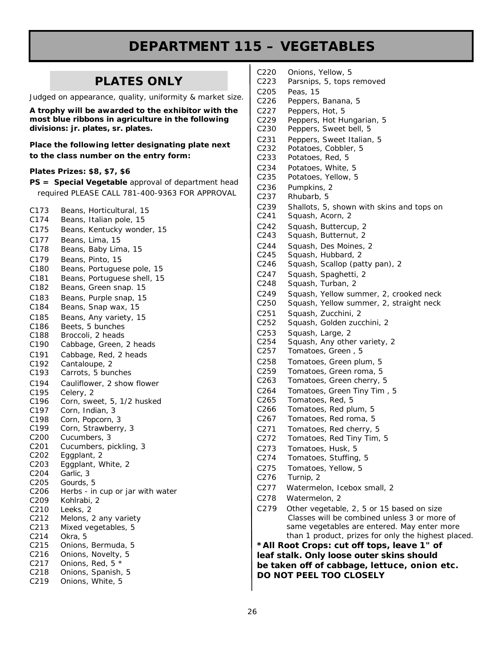# **DEPARTMENT 115 – VEGETABLES**

### **PLATES ONLY**

Judged on appearance, quality, uniformity & market size.

*A trophy will be awarded to the exhibitor with the most blue ribbons in agriculture in the following divisions: jr. plates, sr. plates.*

**Place the following letter designating plate next to the class number on the entry form:**

#### **Plates Prizes: \$8, \$7, \$6**

**PS = Special Vegetable** *approval of department head required PLEASE CALL 781-400-9363 FOR APPROVAL*

| C173<br>C174                         | Beans, Horticultural, 15<br>Beans, Italian pole, 15 |
|--------------------------------------|-----------------------------------------------------|
| C175                                 | Beans, Kentucky wonder, 15                          |
| C177                                 | Beans, Lima, 15                                     |
| C178                                 | Beans, Baby Lima, 15                                |
| C179                                 | Beans, Pinto, 15                                    |
| C180                                 | Beans, Portuguese pole, 15                          |
| C181                                 | Beans, Portuguese shell, 15                         |
| C182                                 | Beans, Green snap. 15                               |
| C183                                 | Beans, Purple snap, 15                              |
| C184                                 | Beans, Snap wax, 15                                 |
| C185                                 | Beans, Any variety, 15                              |
| C186                                 | Beets, 5 bunches                                    |
| C188                                 | Broccoli, 2 heads                                   |
| C190                                 | Cabbage, Green, 2 heads                             |
| C191                                 | Cabbage, Red, 2 heads                               |
| C192                                 | Cantaloupe, 2                                       |
| C193                                 | Carrots, 5 bunches                                  |
| C194                                 | Cauliflower, 2 show flower                          |
| C195                                 | Celery, 2                                           |
| C196                                 | Corn, sweet, 5, 1/2 husked                          |
| C197                                 | Corn, Indian, 3                                     |
| C198                                 | Corn, Popcorn, 3                                    |
| C199                                 | Corn, Strawberry, 3                                 |
| C <sub>2</sub> 00                    | Cucumbers, 3                                        |
| C201                                 | Cucumbers, pickling, 3                              |
| C <sub>2</sub> 02                    | Eggplant, 2                                         |
| C203                                 | Eggplant, White, 2                                  |
| C204                                 | Garlic, 3                                           |
| C205                                 | Gourds, 5<br>Herbs - in cup or jar with water       |
| C <sub>206</sub><br>C <sub>209</sub> | Kohlrabi, 2                                         |
| C210                                 | Leeks, 2                                            |
| C212                                 | Melons, 2 any variety                               |
| C <sub>2</sub> 13                    | Mixed vegetables, 5                                 |
| C <sub>214</sub>                     | Okra, 5                                             |
| C <sub>215</sub>                     | Onions, Bermuda, 5                                  |
| C216                                 | Onions, Novelty, 5                                  |
| C <sub>2</sub> 17                    | Onions, Red, 5 *                                    |
| C218                                 | Onions, Spanish, 5                                  |
| C219                                 | Onions, White, 5                                    |

| C220                                                                           | Onions, Yellow, 5                                    |  |
|--------------------------------------------------------------------------------|------------------------------------------------------|--|
| C223                                                                           | Parsnips, 5, tops removed                            |  |
| C205                                                                           | Peas, 15<br>Peppers, Banana, 5                       |  |
| C226<br>C227                                                                   |                                                      |  |
| C229                                                                           | Peppers, Hot, 5<br>Peppers, Hot Hungarian, 5         |  |
| C230                                                                           | Peppers, Sweet bell, 5                               |  |
| C231                                                                           | Peppers, Sweet Italian, 5                            |  |
| C232                                                                           | Potatoes, Cobbler, 5                                 |  |
| C233                                                                           | Potatoes, Red, 5                                     |  |
| C234                                                                           | Potatoes, White, 5                                   |  |
| C235                                                                           | Potatoes, Yellow, 5                                  |  |
| C236                                                                           | Pumpkins, 2                                          |  |
| C237                                                                           | Rhubarb, 5                                           |  |
| C239                                                                           | Shallots, 5, shown with skins and tops on            |  |
| C241                                                                           | Squash, Acorn, 2                                     |  |
| C242                                                                           | Squash, Buttercup, 2                                 |  |
| C243                                                                           | Squash, Butternut, 2                                 |  |
| C244                                                                           | Squash, Des Moines, 2                                |  |
| C245                                                                           | Squash, Hubbard, 2                                   |  |
| C246                                                                           | Squash, Scallop (patty pan), 2                       |  |
| C247<br>C248                                                                   | Squash, Spaghetti, 2<br>Squash, Turban, 2            |  |
| C249                                                                           | Squash, Yellow summer, 2, crooked neck               |  |
| C250                                                                           | Squash, Yellow summer, 2, straight neck              |  |
| C251                                                                           | Squash, Zucchini, 2                                  |  |
| C252                                                                           | Squash, Golden zucchini, 2                           |  |
| C253                                                                           | Squash, Large, 2                                     |  |
| C254                                                                           | Squash, Any other variety, 2                         |  |
| C257                                                                           | Tomatoes, Green, 5                                   |  |
| C258                                                                           | Tomatoes, Green plum, 5                              |  |
| C259<br>C263                                                                   | Tomatoes, Green roma, 5<br>Tomatoes, Green cherry, 5 |  |
| C264                                                                           |                                                      |  |
| C265                                                                           | Tomatoes, Green Tiny Tim, 5<br>Tomatoes, Red, 5      |  |
| C266                                                                           | Tomatoes, Red plum, 5                                |  |
| C267                                                                           | Tomatoes, Red roma, 5                                |  |
| C271                                                                           | Tomatoes, Red cherry, 5                              |  |
| C272                                                                           | Tomatoes, Red Tiny Tim,<br>5                         |  |
| C273                                                                           | Tomatoes, Husk, 5                                    |  |
| C274                                                                           | Tomatoes, Stuffing, 5                                |  |
| C275                                                                           | Tomatoes, Yellow, 5                                  |  |
| C276                                                                           | Turnip, 2                                            |  |
| C277                                                                           | Watermelon, Icebox small, 2                          |  |
| C278                                                                           | Watermelon, 2                                        |  |
| C279                                                                           | Other vegetable, 2, 5 or 15 based on size            |  |
|                                                                                | Classes will be combined unless 3 or more of         |  |
|                                                                                | same vegetables are entered. May enter more          |  |
|                                                                                | than 1 product, prizes for only the highest placed.  |  |
| *All Root Crops: cut off tops, leave 1" of                                     |                                                      |  |
| leaf stalk. Only loose outer skins should                                      |                                                      |  |
| be taken off of cabbage, lettuce, onion etc.<br><b>DO NOT PEEL TOO CLOSELY</b> |                                                      |  |
|                                                                                |                                                      |  |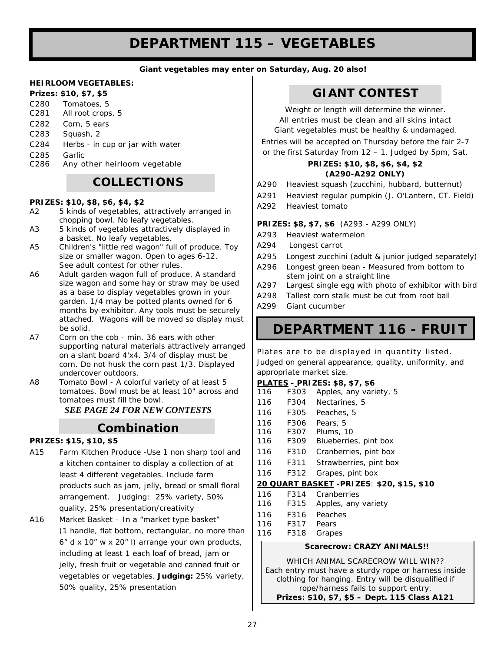# **DEPARTMENT 115 – VEGETABLES**

#### *Giant vegetables may enter on Saturday, Aug. 20 also!*

#### **HEIRLOOM VEGETABLES:**

#### **Prizes: \$10, \$7, \$5**

|                             | C280 Tomatoes, 5<br>C281 All root crops, 5               |
|-----------------------------|----------------------------------------------------------|
|                             | C <sub>282</sub> Corn, 5 ears                            |
| C283                        | Squash, 2                                                |
| $\sim$ $\sim$ $\sim$ $\sim$ | والمستقلد والمستحل والمستنفي والمستنقص والمستحل المتناقص |

- C284 Herbs in cup or jar with water
- C<sub>285</sub> Garlic<br>C<sub>286</sub> Any o
- Any other heirloom vegetable

### **COLLECTIONS**

#### **PRIZES: \$10, \$8, \$6, \$4, \$2**

- A2 5 kinds of vegetables, attractively arranged in chopping bowl. No leafy vegetables.
- A3 5 kinds of vegetables attractively displayed in a basket. No leafy vegetables.
- A5 Children's "little red wagon" full of produce. Toy size or smaller wagon. Open to ages 6-12. See adult contest for other rules.
- A6 Adult garden wagon full of produce. A standard size wagon and some hay or straw may be used as a base to display vegetables grown in your garden. 1/4 may be potted plants owned for 6 months by exhibitor. Any tools must be securely attached. Wagons will be moved so display must be solid.
- A7 Corn on the cob min. 36 ears with other supporting natural materials attractively arranged on a slant board 4'x4. 3/4 of display must be corn. Do not husk the corn past 1/3. Displayed undercover outdoors.
- A8 Tomato Bowl A colorful variety of at least 5 tomatoes. Bowl must be at least 10" across and tomatoes must fill the bowl.

*SEE PAGE 24 FOR NEW CONTESTS*

### *Combination*

#### **PRIZES: \$15, \$10, \$5**

- A15 Farm Kitchen Produce -Use 1 non sharp tool and a kitchen container to display a collection of at least 4 different vegetables. Include farm products such as jam, jelly, bread or small floral arrangement. Judging: 25% variety, 50% quality, 25% presentation/creativity
- A16 Market Basket In a "market type basket" (1 handle, flat bottom, rectangular, no more than 6" d x 10" w x 20" l) arrange your own products, including at least 1 each loaf of bread, jam or jelly, fresh fruit or vegetable and canned fruit or vegetables or vegetables. **Judging:** 25% variety, 50% quality, 25% presentation

### **GIANT CONTEST**

*Weight or length will determine the winner. All entries must be clean and all skins intact Giant vegetables must be healthy & undamaged.*

*Entries will be accepted on Thursday before the fair 2-7 or the first Saturday from 12 – 1. Judged by 5pm, Sat.*

#### **PRIZES: \$10, \$8, \$6, \$4, \$2 (A290-A292 ONLY)**

- A290 Heaviest squash (zucchini, hubbard, butternut)
- A291 Heaviest regular pumpkin (J. O'Lantern, CT. Field)
- A292 Heaviest tomato

#### **PRIZES: \$8, \$7, \$6** (A293 - A299 ONLY)

- A293 Heaviest watermelon
- A294 Longest carrot
- A295 Longest zucchini (adult & junior judged separately)
- A296 Longest green bean Measured from bottom to stem joint on a straight line
- A297 Largest single egg with photo of exhibitor with bird
- A298 Tallest corn stalk must be cut from root ball
- A299 Giant cucumber

## **DEPARTMENT 116 - FRUIT**

Plates are to be displayed in quantity listed. Judged on general appearance, quality, uniformity, and appropriate market size.

#### **PLATES - PRIZES: \$8, \$7, \$6**

| 116                                        | F303 | Apples, any variety, 5 |  |  |
|--------------------------------------------|------|------------------------|--|--|
| 116                                        | F304 | Nectarines, 5          |  |  |
| 116                                        | F305 | Peaches, 5             |  |  |
| 116                                        | F306 | Pears, 5               |  |  |
| 116                                        | F307 | Plums, 10              |  |  |
| 116                                        | F309 | Blueberries, pint box  |  |  |
| 116                                        | F310 | Cranberries, pint box  |  |  |
| 116                                        | F311 | Strawberries, pint box |  |  |
| 116                                        | F312 | Grapes, pint box       |  |  |
| 20 QUART BASKET - PRIZES: \$20, \$15, \$10 |      |                        |  |  |
| 116                                        | F314 | Cranberries            |  |  |
| 116                                        | F315 | Apples, any variety    |  |  |
| 116                                        | F316 | Peaches                |  |  |

- 116 F316 Peaches
- 116 F317 Pears
- 116 F318 Grapes

#### *Scarecrow: CRAZY ANIMALS!!*

WHICH ANIMAL SCARECROW WILL WIN?? Each entry must have a sturdy rope or harness inside clothing for hanging. Entry will be disqualified if rope/harness fails to support entry. *Prizes: \$10, \$7, \$5 – Dept. 115 Class A121*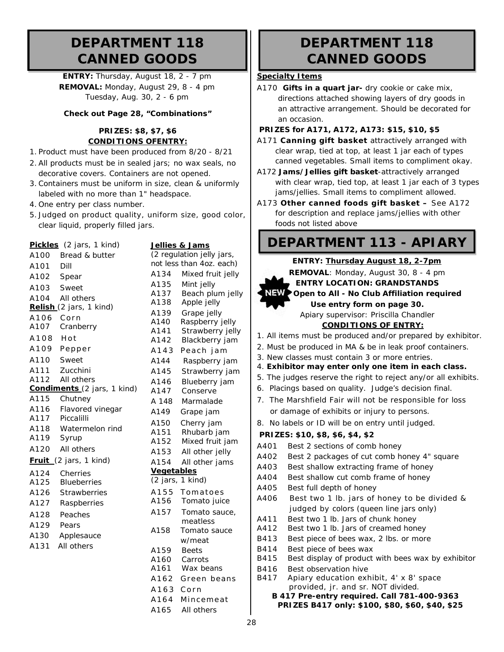## **DEPARTMENT 118 CANNED GOODS**

**ENTRY:** Thursday, August 18, 2 - 7 pm **REMOVAL:** Monday, August 29, 8 - 4 pm Tuesday, Aug. 30, 2 - 6 pm

#### **Check out Page 28, "Combinations"**

#### **PRIZES: \$8, \$7, \$6 CONDITIONS OFENTRY:**

- 1. Product must have been produced from 8/20 8/21
- 2. All products must be in sealed jars; no wax seals, no decorative covers. Containers are not opened.
- 3. Containers must be uniform in size, clean & uniformly labeled with no more than 1" headspace.
- 4. One entry per class number.

**Pickles** *(2 jars, 1 kind)*

5. Judged on product quality, uniform size, good color, clear liquid, properly filled jars.

|                                                 | Pickles (2 jars, 1 kind)    |                   | Jellies & Jams            |
|-------------------------------------------------|-----------------------------|-------------------|---------------------------|
| A100                                            | Bread & butter              |                   | (2 regulation jel         |
| A101                                            | Dill                        |                   | not less than 40.         |
| A102                                            | Spear                       | A134              | Mixed f                   |
| A103                                            | Sweet                       | A135              | Mint jel                  |
| A104                                            | All others                  | A137              | Beach p                   |
|                                                 | Relish (2 jars, 1 kind)     | A138              | Apple je                  |
|                                                 | A106 Corn                   | A139              | Grape j                   |
| A107                                            | Cranberry                   | A140<br>A141      | Raspber<br><b>Strawbe</b> |
| A108                                            | Hot                         | A142              | Blackbe                   |
| A109                                            | Pepper                      | A143              | Peach                     |
| A110                                            | Sweet                       | A144              | Raspbe                    |
| A111                                            | Zucchini                    | A145              | Strawbe                   |
| A112                                            | All others                  | A146              | <b>Blueber</b>            |
|                                                 | Condiments (2 jars, 1 kind) | A147              | Consery                   |
| A115                                            | Chutney                     | A 148             | Marmal                    |
| A116                                            | Flavored vinegar            | A149              | Grape ja                  |
| A117                                            | Piccalilli                  | A150              | Cherry j                  |
| A118                                            | Watermelon rind             | A151              | Rhubarl                   |
| A119                                            | Syrup                       | A152              | Mixed f                   |
| A120                                            | All others                  | A153              | All othe                  |
| <b>Fruit</b> $(2 \text{ jars}, 1 \text{ kind})$ |                             | A154              | All othe                  |
| A124                                            | Cherries                    | <b>Vegetables</b> |                           |
| A125                                            | <b>Blueberries</b>          |                   | $(2$ jars, 1 kind)        |
| A126                                            | <b>Strawberries</b>         | A155              | Tomat                     |
| A127                                            | Raspberries                 | A156              | Tomato                    |
| A128                                            | Peaches                     | A157              | Tomato                    |
| A129                                            | Pears                       |                   | meatles                   |
| A130                                            | Applesauce                  | A158              | Tomato<br>w/meat          |
| A131                                            | All others                  | A159              | <b>Beets</b>              |
|                                                 |                             | A160              | Carrots                   |
|                                                 |                             | A161              | Wax be                    |
|                                                 |                             | A162              | Green                     |

|                   | (2 regulation jelly jars, |
|-------------------|---------------------------|
|                   | not less than 4oz. each)  |
| A134              | Mixed fruit jelly         |
| A135              | Mint jelly                |
| A137              | Beach plum jelly          |
| A138              | Apple jelly               |
| A139              | Grape jelly               |
| A140              | Raspberry jelly           |
| A141              | Strawberry jelly          |
| A142              | Blackberry jam            |
| A143              | Peach jam                 |
| A144              | Raspberry jam             |
| A145              | Strawberry jam            |
| A146              | Blueberry jam             |
| A147              | Conserve                  |
| A 148             | Marmalade                 |
| A149              | Grape jam                 |
| A150              | Cherry jam                |
| A151              | Rhubarb jam               |
| A152              | Mixed fruit jam           |
| A153              | All other jelly           |
| A154              | All other jams            |
| <b>Vegetables</b> |                           |
| $(2$ jars,        | $1$ kind)                 |
| A155              | Tomatoes                  |
| A156              | Tomato juice              |
| A157              | Tomato sauce,             |
|                   | meatless                  |
| A158              | Tomato sauce              |
|                   | w/meat                    |
| A159              | <b>Beets</b>              |
| A160              | Carrots                   |
| A161              | Wax beans                 |
| A162              | Green beans               |
| A163              | Corn                      |
| A164              | Mincemeat                 |
| A165              | All others                |
|                   |                           |

# **DEPARTMENT 118 CANNED GOODS**

#### **Specialty Items**

A170 **Gifts in a quart jar-** dry cookie or cake mix, directions attached showing layers of dry goods in an attractive arrangement. Should be decorated for an occasion.

#### **PRIZES for A171, A172, A173: \$15, \$10, \$5**

- A171 **Canning gift basket** attractively arranged with clear wrap, tied at top, at least 1 jar each of types canned vegetables. Small items to compliment okay.
- A172 **Jams/Jellies gift basket**-attractively arranged with clear wrap, tied top, at least 1 jar each of 3 types jams/jellies. Small items to compliment allowed.
- A173 **Other canned foods gift basket –** See A172 for description and replace jams/jellies with other foods not listed above

# **DEPARTMENT 113 - APIARY**

#### **ENTRY: Thursday August 18, 2-7pm**

**REMOVAL**: Monday, August 30, 8 - 4 pm

**ENTRY LOCATION: GRANDSTANDS Open to All - No Club Affiliation required Use entry form on page 30.** Apiary supervisor: Priscilla Chandler

- **CONDITIONS OF ENTRY:**
- 1. All items must be produced and/or prepared by exhibitor.
- 2. Must be produced in MA & be in leak proof containers.
- 3. New classes must contain 3 or more entries.
- 4. **Exhibitor may enter only one item in each class.**
- 5. The judges reserve the right to reject any/or all exhibits.
- 6. Placings based on quality. Judge's decision final.
- 7. The Marshfield Fair will not be responsible for loss or damage of exhibits or injury to persons.
- 8. No labels or ID will be on entry until judged.

#### **PRIZES: \$10, \$8, \$6, \$4, \$2**

- A401 Best 2 sections of comb honey A402 Best 2 packages of cut comb honey 4" square
- A403 Best shallow extracting frame of honey
- A404 Best shallow cut comb frame of honey
- A405 Best full depth of honey
- A406 Best two 1 lb. jars of honey to be divided & judged by colors (queen line jars only)
- A411 Best two 1 lb. Jars of chunk honey
- A412 Best two 1 lb. Jars of creamed honey
- B413 Best piece of bees wax, 2 lbs. or more
- B414 Best piece of bees wax
- B415 Best display of product with bees wax by exhibitor
- B416 Best observation hive
- B417 Apiary education exhibit, 4' x 8' space provided, jr. and sr. NOT divided.
	- **B 417 Pre-entry required. Call 781-400-9363 PRIZES B417 only: \$100, \$80, \$60, \$40, \$25**